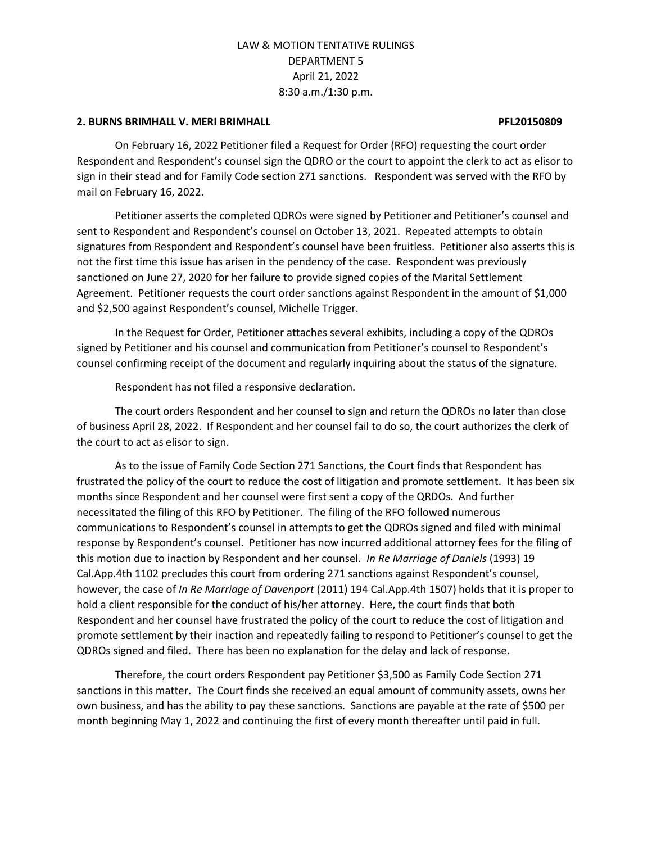### **2. BURNS BRIMHALL V. MERI BRIMHALL PFL20150809**

On February 16, 2022 Petitioner filed a Request for Order (RFO) requesting the court order Respondent and Respondent's counsel sign the QDRO or the court to appoint the clerk to act as elisor to sign in their stead and for Family Code section 271 sanctions. Respondent was served with the RFO by mail on February 16, 2022.

Petitioner asserts the completed QDROs were signed by Petitioner and Petitioner's counsel and sent to Respondent and Respondent's counsel on October 13, 2021. Repeated attempts to obtain signatures from Respondent and Respondent's counsel have been fruitless. Petitioner also asserts this is not the first time this issue has arisen in the pendency of the case. Respondent was previously sanctioned on June 27, 2020 for her failure to provide signed copies of the Marital Settlement Agreement. Petitioner requests the court order sanctions against Respondent in the amount of \$1,000 and \$2,500 against Respondent's counsel, Michelle Trigger.

In the Request for Order, Petitioner attaches several exhibits, including a copy of the QDROs signed by Petitioner and his counsel and communication from Petitioner's counsel to Respondent's counsel confirming receipt of the document and regularly inquiring about the status of the signature.

Respondent has not filed a responsive declaration.

The court orders Respondent and her counsel to sign and return the QDROs no later than close of business April 28, 2022. If Respondent and her counsel fail to do so, the court authorizes the clerk of the court to act as elisor to sign.

As to the issue of Family Code Section 271 Sanctions, the Court finds that Respondent has frustrated the policy of the court to reduce the cost of litigation and promote settlement. It has been six months since Respondent and her counsel were first sent a copy of the QRDOs. And further necessitated the filing of this RFO by Petitioner. The filing of the RFO followed numerous communications to Respondent's counsel in attempts to get the QDROs signed and filed with minimal response by Respondent's counsel. Petitioner has now incurred additional attorney fees for the filing of this motion due to inaction by Respondent and her counsel. *In Re Marriage of Daniels* (1993) 19 Cal.App.4th 1102 precludes this court from ordering 271 sanctions against Respondent's counsel, however, the case of *In Re Marriage of Davenport* (2011) 194 Cal.App.4th 1507) holds that it is proper to hold a client responsible for the conduct of his/her attorney. Here, the court finds that both Respondent and her counsel have frustrated the policy of the court to reduce the cost of litigation and promote settlement by their inaction and repeatedly failing to respond to Petitioner's counsel to get the QDROs signed and filed. There has been no explanation for the delay and lack of response.

Therefore, the court orders Respondent pay Petitioner \$3,500 as Family Code Section 271 sanctions in this matter. The Court finds she received an equal amount of community assets, owns her own business, and has the ability to pay these sanctions. Sanctions are payable at the rate of \$500 per month beginning May 1, 2022 and continuing the first of every month thereafter until paid in full.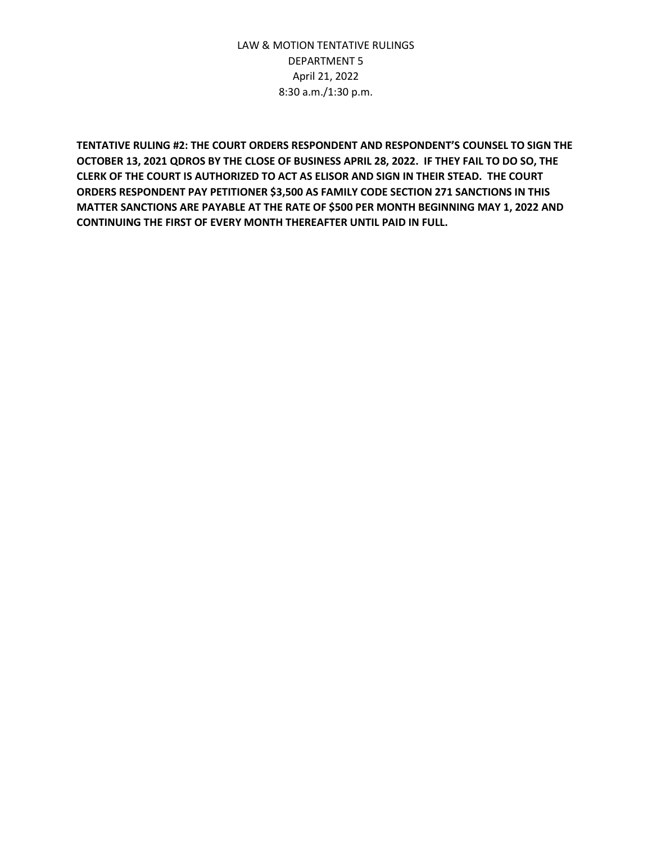**TENTATIVE RULING #2: THE COURT ORDERS RESPONDENT AND RESPONDENT'S COUNSEL TO SIGN THE OCTOBER 13, 2021 QDROS BY THE CLOSE OF BUSINESS APRIL 28, 2022. IF THEY FAIL TO DO SO, THE CLERK OF THE COURT IS AUTHORIZED TO ACT AS ELISOR AND SIGN IN THEIR STEAD. THE COURT ORDERS RESPONDENT PAY PETITIONER \$3,500 AS FAMILY CODE SECTION 271 SANCTIONS IN THIS MATTER SANCTIONS ARE PAYABLE AT THE RATE OF \$500 PER MONTH BEGINNING MAY 1, 2022 AND CONTINUING THE FIRST OF EVERY MONTH THEREAFTER UNTIL PAID IN FULL.**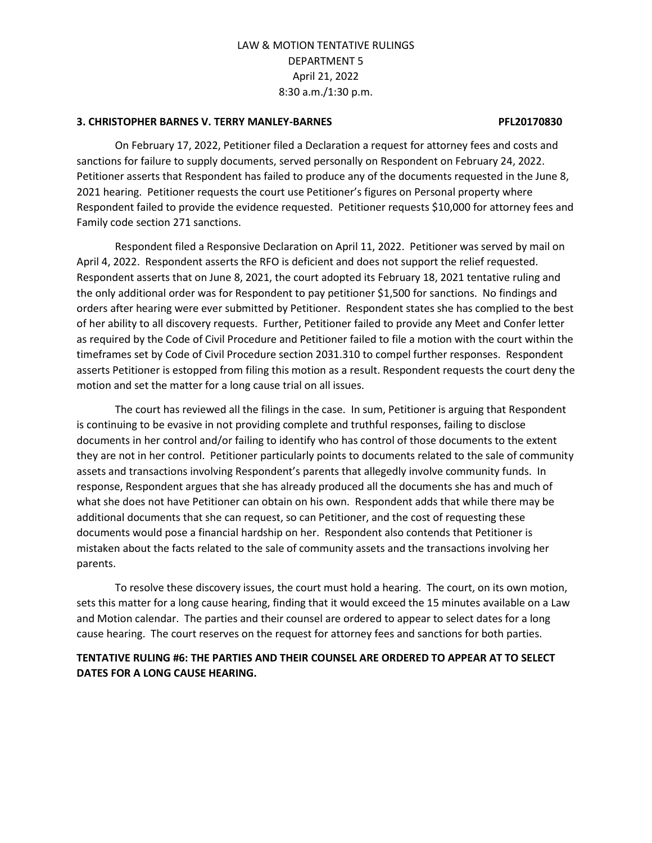#### **3. CHRISTOPHER BARNES V. TERRY MANLEY-BARNES PFL20170830**

On February 17, 2022, Petitioner filed a Declaration a request for attorney fees and costs and sanctions for failure to supply documents, served personally on Respondent on February 24, 2022. Petitioner asserts that Respondent has failed to produce any of the documents requested in the June 8, 2021 hearing. Petitioner requests the court use Petitioner's figures on Personal property where Respondent failed to provide the evidence requested. Petitioner requests \$10,000 for attorney fees and Family code section 271 sanctions.

Respondent filed a Responsive Declaration on April 11, 2022. Petitioner was served by mail on April 4, 2022. Respondent asserts the RFO is deficient and does not support the relief requested. Respondent asserts that on June 8, 2021, the court adopted its February 18, 2021 tentative ruling and the only additional order was for Respondent to pay petitioner \$1,500 for sanctions. No findings and orders after hearing were ever submitted by Petitioner. Respondent states she has complied to the best of her ability to all discovery requests. Further, Petitioner failed to provide any Meet and Confer letter as required by the Code of Civil Procedure and Petitioner failed to file a motion with the court within the timeframes set by Code of Civil Procedure section 2031.310 to compel further responses. Respondent asserts Petitioner is estopped from filing this motion as a result. Respondent requests the court deny the motion and set the matter for a long cause trial on all issues.

The court has reviewed all the filings in the case. In sum, Petitioner is arguing that Respondent is continuing to be evasive in not providing complete and truthful responses, failing to disclose documents in her control and/or failing to identify who has control of those documents to the extent they are not in her control. Petitioner particularly points to documents related to the sale of community assets and transactions involving Respondent's parents that allegedly involve community funds. In response, Respondent argues that she has already produced all the documents she has and much of what she does not have Petitioner can obtain on his own. Respondent adds that while there may be additional documents that she can request, so can Petitioner, and the cost of requesting these documents would pose a financial hardship on her. Respondent also contends that Petitioner is mistaken about the facts related to the sale of community assets and the transactions involving her parents.

To resolve these discovery issues, the court must hold a hearing. The court, on its own motion, sets this matter for a long cause hearing, finding that it would exceed the 15 minutes available on a Law and Motion calendar. The parties and their counsel are ordered to appear to select dates for a long cause hearing. The court reserves on the request for attorney fees and sanctions for both parties.

### **TENTATIVE RULING #6: THE PARTIES AND THEIR COUNSEL ARE ORDERED TO APPEAR AT TO SELECT DATES FOR A LONG CAUSE HEARING.**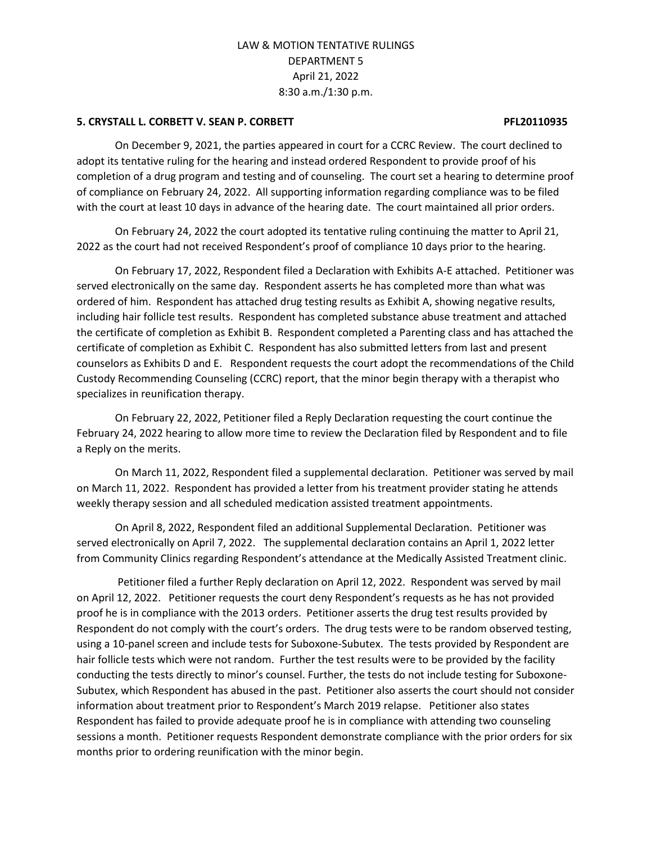#### **5. CRYSTALL L. CORBETT V. SEAN P. CORBETT PROPERTY ASSAULT ASSESSED FL20110935**

On December 9, 2021, the parties appeared in court for a CCRC Review. The court declined to adopt its tentative ruling for the hearing and instead ordered Respondent to provide proof of his completion of a drug program and testing and of counseling. The court set a hearing to determine proof of compliance on February 24, 2022. All supporting information regarding compliance was to be filed with the court at least 10 days in advance of the hearing date. The court maintained all prior orders.

On February 24, 2022 the court adopted its tentative ruling continuing the matter to April 21, 2022 as the court had not received Respondent's proof of compliance 10 days prior to the hearing.

On February 17, 2022, Respondent filed a Declaration with Exhibits A-E attached. Petitioner was served electronically on the same day. Respondent asserts he has completed more than what was ordered of him. Respondent has attached drug testing results as Exhibit A, showing negative results, including hair follicle test results. Respondent has completed substance abuse treatment and attached the certificate of completion as Exhibit B. Respondent completed a Parenting class and has attached the certificate of completion as Exhibit C. Respondent has also submitted letters from last and present counselors as Exhibits D and E. Respondent requests the court adopt the recommendations of the Child Custody Recommending Counseling (CCRC) report, that the minor begin therapy with a therapist who specializes in reunification therapy.

On February 22, 2022, Petitioner filed a Reply Declaration requesting the court continue the February 24, 2022 hearing to allow more time to review the Declaration filed by Respondent and to file a Reply on the merits.

On March 11, 2022, Respondent filed a supplemental declaration. Petitioner was served by mail on March 11, 2022. Respondent has provided a letter from his treatment provider stating he attends weekly therapy session and all scheduled medication assisted treatment appointments.

On April 8, 2022, Respondent filed an additional Supplemental Declaration. Petitioner was served electronically on April 7, 2022. The supplemental declaration contains an April 1, 2022 letter from Community Clinics regarding Respondent's attendance at the Medically Assisted Treatment clinic.

Petitioner filed a further Reply declaration on April 12, 2022. Respondent was served by mail on April 12, 2022. Petitioner requests the court deny Respondent's requests as he has not provided proof he is in compliance with the 2013 orders. Petitioner asserts the drug test results provided by Respondent do not comply with the court's orders. The drug tests were to be random observed testing, using a 10-panel screen and include tests for Suboxone-Subutex. The tests provided by Respondent are hair follicle tests which were not random. Further the test results were to be provided by the facility conducting the tests directly to minor's counsel. Further, the tests do not include testing for Suboxone-Subutex, which Respondent has abused in the past. Petitioner also asserts the court should not consider information about treatment prior to Respondent's March 2019 relapse. Petitioner also states Respondent has failed to provide adequate proof he is in compliance with attending two counseling sessions a month. Petitioner requests Respondent demonstrate compliance with the prior orders for six months prior to ordering reunification with the minor begin.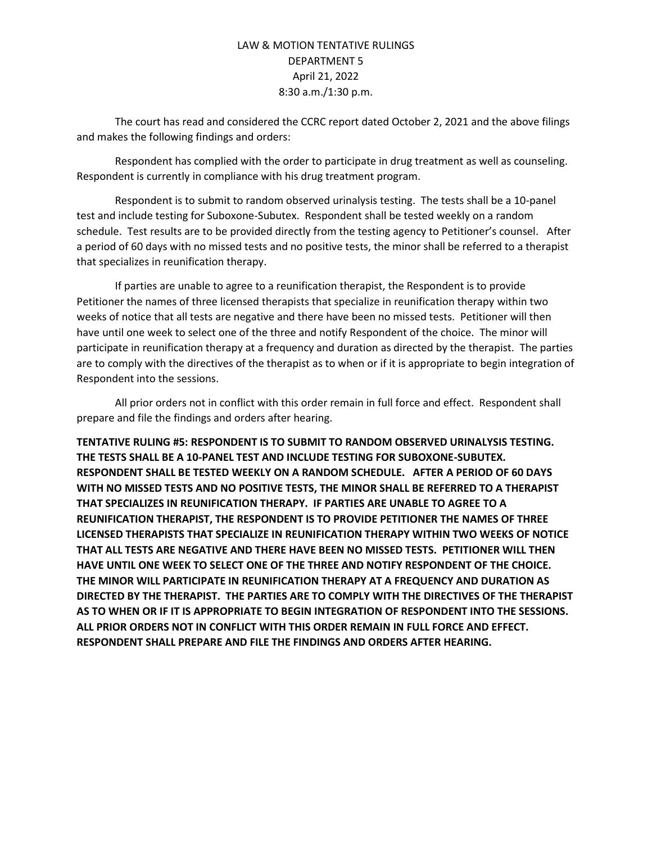The court has read and considered the CCRC report dated October 2, 2021 and the above filings and makes the following findings and orders:

Respondent has complied with the order to participate in drug treatment as well as counseling. Respondent is currently in compliance with his drug treatment program.

Respondent is to submit to random observed urinalysis testing. The tests shall be a 10-panel test and include testing for Suboxone-Subutex. Respondent shall be tested weekly on a random schedule. Test results are to be provided directly from the testing agency to Petitioner's counsel. After a period of 60 days with no missed tests and no positive tests, the minor shall be referred to a therapist that specializes in reunification therapy.

If parties are unable to agree to a reunification therapist, the Respondent is to provide Petitioner the names of three licensed therapists that specialize in reunification therapy within two weeks of notice that all tests are negative and there have been no missed tests. Petitioner will then have until one week to select one of the three and notify Respondent of the choice. The minor will participate in reunification therapy at a frequency and duration as directed by the therapist. The parties are to comply with the directives of the therapist as to when or if it is appropriate to begin integration of Respondent into the sessions.

All prior orders not in conflict with this order remain in full force and effect. Respondent shall prepare and file the findings and orders after hearing.

**TENTATIVE RULING #5: RESPONDENT IS TO SUBMIT TO RANDOM OBSERVED URINALYSIS TESTING. THE TESTS SHALL BE A 10-PANEL TEST AND INCLUDE TESTING FOR SUBOXONE-SUBUTEX. RESPONDENT SHALL BE TESTED WEEKLY ON A RANDOM SCHEDULE. AFTER A PERIOD OF 60 DAYS WITH NO MISSED TESTS AND NO POSITIVE TESTS, THE MINOR SHALL BE REFERRED TO A THERAPIST THAT SPECIALIZES IN REUNIFICATION THERAPY. IF PARTIES ARE UNABLE TO AGREE TO A REUNIFICATION THERAPIST, THE RESPONDENT IS TO PROVIDE PETITIONER THE NAMES OF THREE LICENSED THERAPISTS THAT SPECIALIZE IN REUNIFICATION THERAPY WITHIN TWO WEEKS OF NOTICE THAT ALL TESTS ARE NEGATIVE AND THERE HAVE BEEN NO MISSED TESTS. PETITIONER WILL THEN HAVE UNTIL ONE WEEK TO SELECT ONE OF THE THREE AND NOTIFY RESPONDENT OF THE CHOICE. THE MINOR WILL PARTICIPATE IN REUNIFICATION THERAPY AT A FREQUENCY AND DURATION AS DIRECTED BY THE THERAPIST. THE PARTIES ARE TO COMPLY WITH THE DIRECTIVES OF THE THERAPIST AS TO WHEN OR IF IT IS APPROPRIATE TO BEGIN INTEGRATION OF RESPONDENT INTO THE SESSIONS. ALL PRIOR ORDERS NOT IN CONFLICT WITH THIS ORDER REMAIN IN FULL FORCE AND EFFECT. RESPONDENT SHALL PREPARE AND FILE THE FINDINGS AND ORDERS AFTER HEARING.**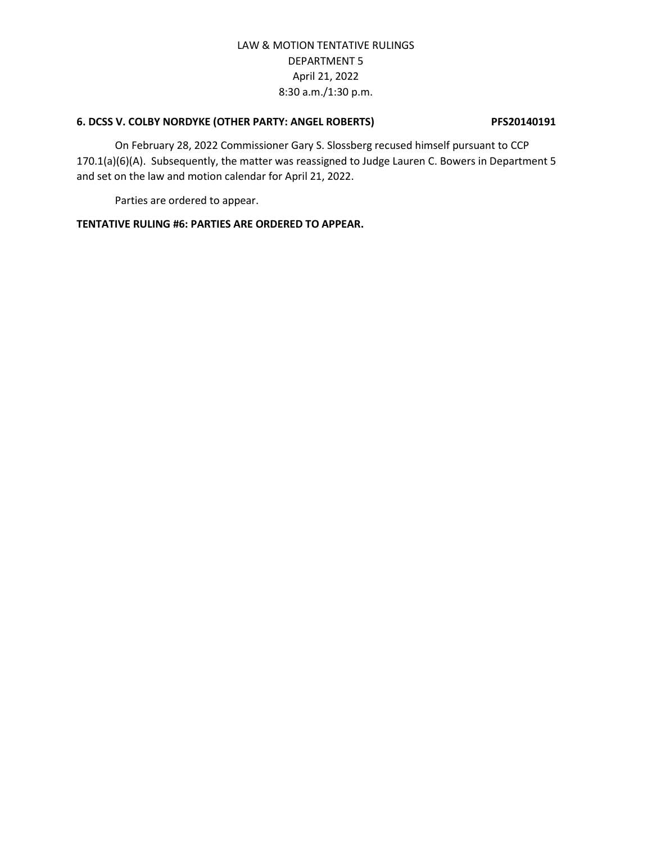### **6. DCSS V. COLBY NORDYKE (OTHER PARTY: ANGEL ROBERTS) PFS20140191**

On February 28, 2022 Commissioner Gary S. Slossberg recused himself pursuant to CCP 170.1(a)(6)(A). Subsequently, the matter was reassigned to Judge Lauren C. Bowers in Department 5 and set on the law and motion calendar for April 21, 2022.

Parties are ordered to appear.

### **TENTATIVE RULING #6: PARTIES ARE ORDERED TO APPEAR.**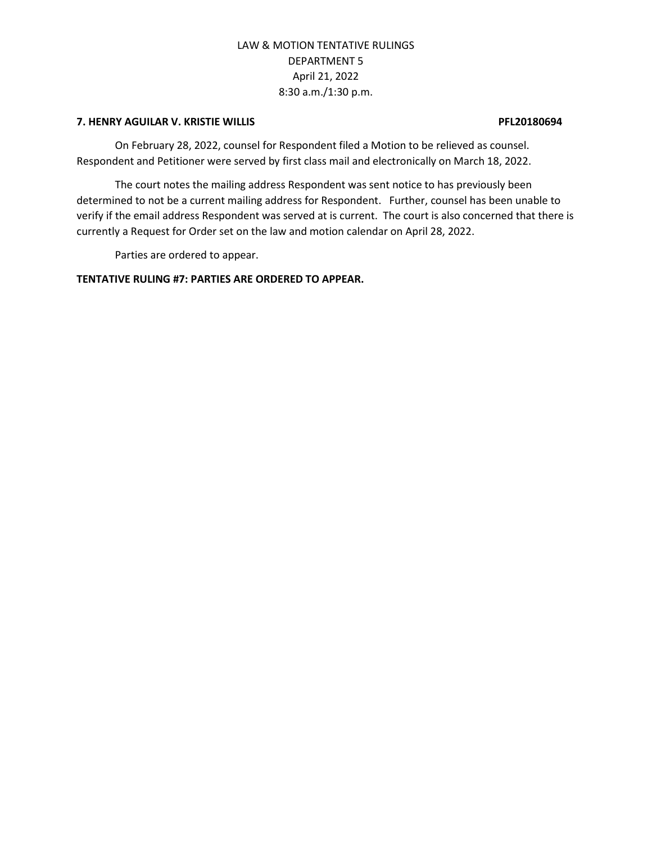### **7. HENRY AGUILAR V. KRISTIE WILLIS PFL20180694**

On February 28, 2022, counsel for Respondent filed a Motion to be relieved as counsel. Respondent and Petitioner were served by first class mail and electronically on March 18, 2022.

The court notes the mailing address Respondent was sent notice to has previously been determined to not be a current mailing address for Respondent. Further, counsel has been unable to verify if the email address Respondent was served at is current. The court is also concerned that there is currently a Request for Order set on the law and motion calendar on April 28, 2022.

Parties are ordered to appear.

### **TENTATIVE RULING #7: PARTIES ARE ORDERED TO APPEAR.**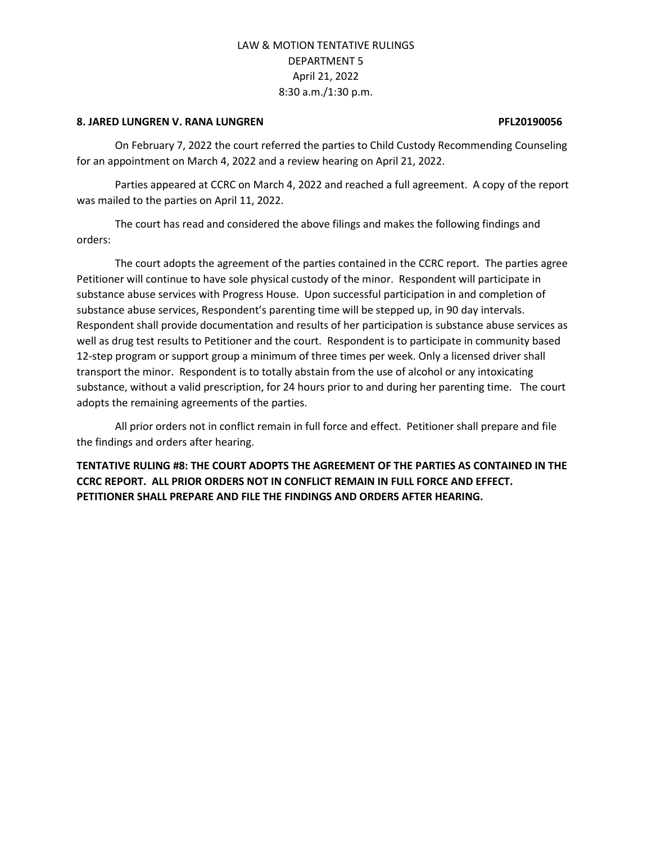#### **8. JARED LUNGREN V. RANA LUNGREN PFL20190056**

On February 7, 2022 the court referred the parties to Child Custody Recommending Counseling for an appointment on March 4, 2022 and a review hearing on April 21, 2022.

Parties appeared at CCRC on March 4, 2022 and reached a full agreement. A copy of the report was mailed to the parties on April 11, 2022.

The court has read and considered the above filings and makes the following findings and orders:

The court adopts the agreement of the parties contained in the CCRC report. The parties agree Petitioner will continue to have sole physical custody of the minor. Respondent will participate in substance abuse services with Progress House. Upon successful participation in and completion of substance abuse services, Respondent's parenting time will be stepped up, in 90 day intervals. Respondent shall provide documentation and results of her participation is substance abuse services as well as drug test results to Petitioner and the court. Respondent is to participate in community based 12-step program or support group a minimum of three times per week. Only a licensed driver shall transport the minor. Respondent is to totally abstain from the use of alcohol or any intoxicating substance, without a valid prescription, for 24 hours prior to and during her parenting time. The court adopts the remaining agreements of the parties.

All prior orders not in conflict remain in full force and effect. Petitioner shall prepare and file the findings and orders after hearing.

**TENTATIVE RULING #8: THE COURT ADOPTS THE AGREEMENT OF THE PARTIES AS CONTAINED IN THE CCRC REPORT. ALL PRIOR ORDERS NOT IN CONFLICT REMAIN IN FULL FORCE AND EFFECT. PETITIONER SHALL PREPARE AND FILE THE FINDINGS AND ORDERS AFTER HEARING.**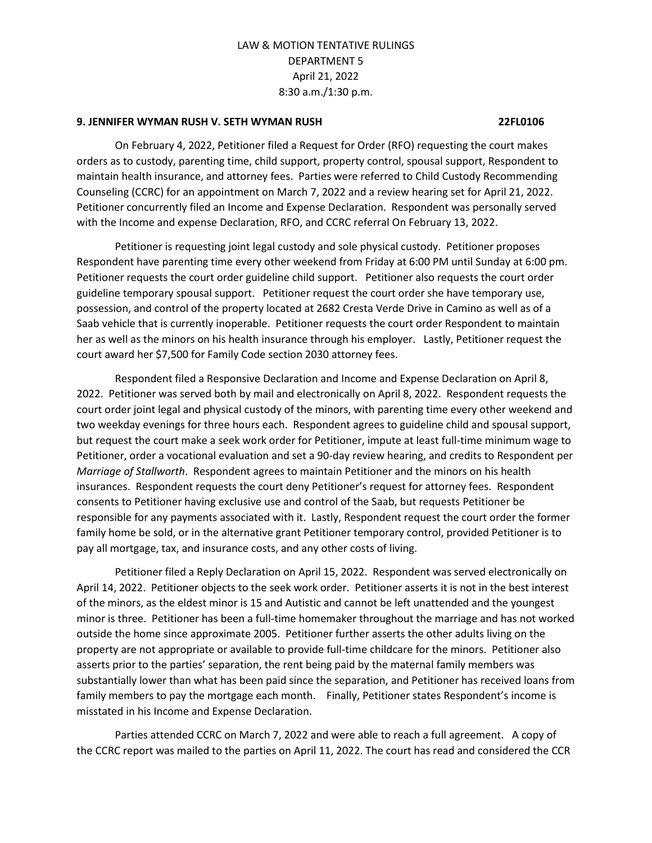#### **9. JENNIFER WYMAN RUSH V. SETH WYMAN RUSH 22FL0106**

On February 4, 2022, Petitioner filed a Request for Order (RFO) requesting the court makes orders as to custody, parenting time, child support, property control, spousal support, Respondent to maintain health insurance, and attorney fees. Parties were referred to Child Custody Recommending Counseling (CCRC) for an appointment on March 7, 2022 and a review hearing set for April 21, 2022. Petitioner concurrently filed an Income and Expense Declaration. Respondent was personally served with the Income and expense Declaration, RFO, and CCRC referral On February 13, 2022.

Petitioner is requesting joint legal custody and sole physical custody. Petitioner proposes Respondent have parenting time every other weekend from Friday at 6:00 PM until Sunday at 6:00 pm. Petitioner requests the court order guideline child support. Petitioner also requests the court order guideline temporary spousal support. Petitioner request the court order she have temporary use, possession, and control of the property located at 2682 Cresta Verde Drive in Camino as well as of a Saab vehicle that is currently inoperable. Petitioner requests the court order Respondent to maintain her as well as the minors on his health insurance through his employer. Lastly, Petitioner request the court award her \$7,500 for Family Code section 2030 attorney fees.

Respondent filed a Responsive Declaration and Income and Expense Declaration on April 8, 2022. Petitioner was served both by mail and electronically on April 8, 2022. Respondent requests the court order joint legal and physical custody of the minors, with parenting time every other weekend and two weekday evenings for three hours each. Respondent agrees to guideline child and spousal support, but request the court make a seek work order for Petitioner, impute at least full-time minimum wage to Petitioner, order a vocational evaluation and set a 90-day review hearing, and credits to Respondent per *Marriage of Stallworth*. Respondent agrees to maintain Petitioner and the minors on his health insurances. Respondent requests the court deny Petitioner's request for attorney fees. Respondent consents to Petitioner having exclusive use and control of the Saab, but requests Petitioner be responsible for any payments associated with it. Lastly, Respondent request the court order the former family home be sold, or in the alternative grant Petitioner temporary control, provided Petitioner is to pay all mortgage, tax, and insurance costs, and any other costs of living.

Petitioner filed a Reply Declaration on April 15, 2022. Respondent was served electronically on April 14, 2022. Petitioner objects to the seek work order. Petitioner asserts it is not in the best interest of the minors, as the eldest minor is 15 and Autistic and cannot be left unattended and the youngest minor is three. Petitioner has been a full-time homemaker throughout the marriage and has not worked outside the home since approximate 2005. Petitioner further asserts the other adults living on the property are not appropriate or available to provide full-time childcare for the minors. Petitioner also asserts prior to the parties' separation, the rent being paid by the maternal family members was substantially lower than what has been paid since the separation, and Petitioner has received loans from family members to pay the mortgage each month. Finally, Petitioner states Respondent's income is misstated in his Income and Expense Declaration.

Parties attended CCRC on March 7, 2022 and were able to reach a full agreement. A copy of the CCRC report was mailed to the parties on April 11, 2022. The court has read and considered the CCR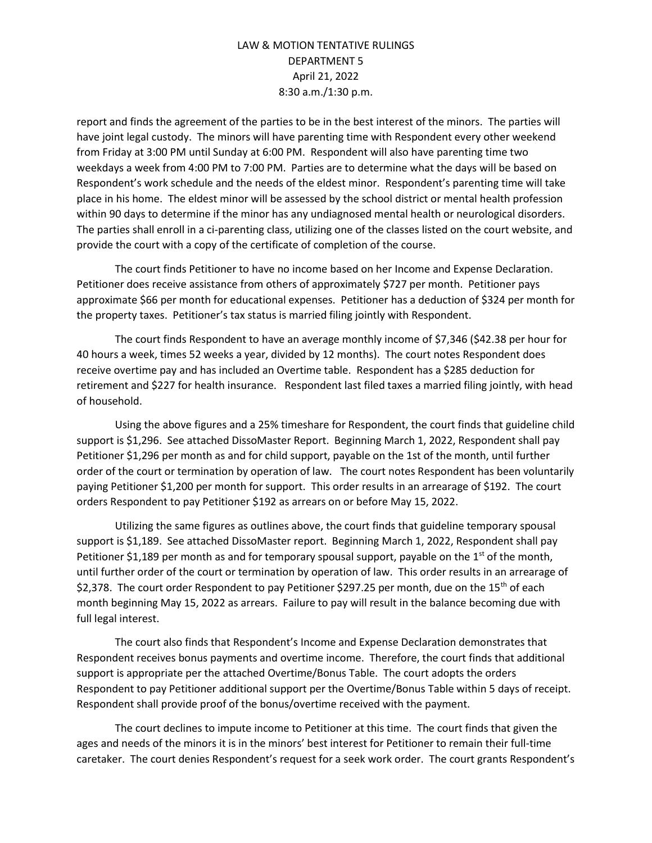report and finds the agreement of the parties to be in the best interest of the minors. The parties will have joint legal custody. The minors will have parenting time with Respondent every other weekend from Friday at 3:00 PM until Sunday at 6:00 PM. Respondent will also have parenting time two weekdays a week from 4:00 PM to 7:00 PM. Parties are to determine what the days will be based on Respondent's work schedule and the needs of the eldest minor. Respondent's parenting time will take place in his home. The eldest minor will be assessed by the school district or mental health profession within 90 days to determine if the minor has any undiagnosed mental health or neurological disorders. The parties shall enroll in a ci-parenting class, utilizing one of the classes listed on the court website, and provide the court with a copy of the certificate of completion of the course.

The court finds Petitioner to have no income based on her Income and Expense Declaration. Petitioner does receive assistance from others of approximately \$727 per month. Petitioner pays approximate \$66 per month for educational expenses. Petitioner has a deduction of \$324 per month for the property taxes. Petitioner's tax status is married filing jointly with Respondent.

The court finds Respondent to have an average monthly income of \$7,346 (\$42.38 per hour for 40 hours a week, times 52 weeks a year, divided by 12 months). The court notes Respondent does receive overtime pay and has included an Overtime table. Respondent has a \$285 deduction for retirement and \$227 for health insurance. Respondent last filed taxes a married filing jointly, with head of household.

Using the above figures and a 25% timeshare for Respondent, the court finds that guideline child support is \$1,296. See attached DissoMaster Report. Beginning March 1, 2022, Respondent shall pay Petitioner \$1,296 per month as and for child support, payable on the 1st of the month, until further order of the court or termination by operation of law. The court notes Respondent has been voluntarily paying Petitioner \$1,200 per month for support. This order results in an arrearage of \$192. The court orders Respondent to pay Petitioner \$192 as arrears on or before May 15, 2022.

Utilizing the same figures as outlines above, the court finds that guideline temporary spousal support is \$1,189. See attached DissoMaster report. Beginning March 1, 2022, Respondent shall pay Petitioner \$1,189 per month as and for temporary spousal support, payable on the 1<sup>st</sup> of the month, until further order of the court or termination by operation of law. This order results in an arrearage of \$2,378. The court order Respondent to pay Petitioner \$297.25 per month, due on the 15<sup>th</sup> of each month beginning May 15, 2022 as arrears. Failure to pay will result in the balance becoming due with full legal interest.

The court also finds that Respondent's Income and Expense Declaration demonstrates that Respondent receives bonus payments and overtime income. Therefore, the court finds that additional support is appropriate per the attached Overtime/Bonus Table. The court adopts the orders Respondent to pay Petitioner additional support per the Overtime/Bonus Table within 5 days of receipt. Respondent shall provide proof of the bonus/overtime received with the payment.

The court declines to impute income to Petitioner at this time. The court finds that given the ages and needs of the minors it is in the minors' best interest for Petitioner to remain their full-time caretaker. The court denies Respondent's request for a seek work order. The court grants Respondent's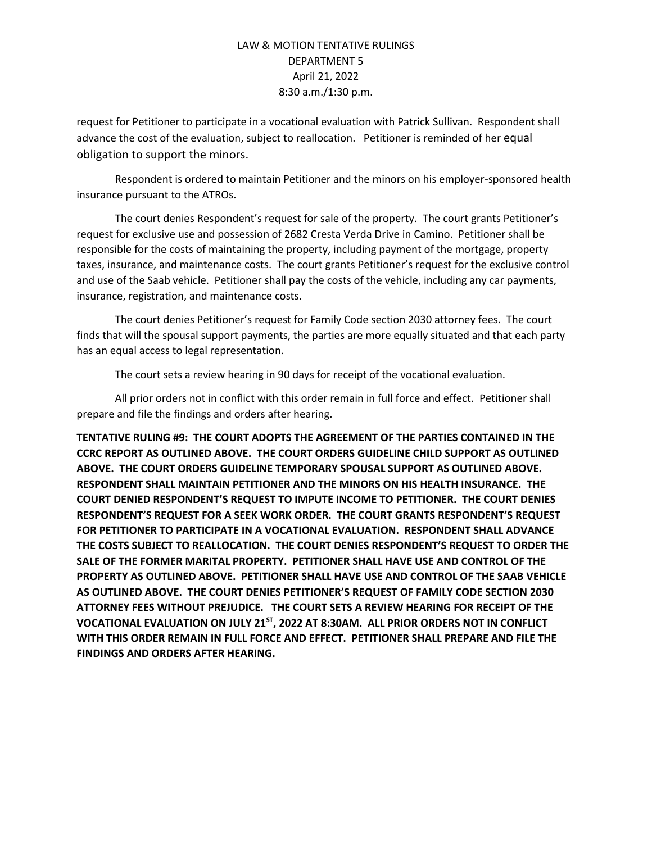request for Petitioner to participate in a vocational evaluation with Patrick Sullivan. Respondent shall advance the cost of the evaluation, subject to reallocation. Petitioner is reminded of her equal obligation to support the minors.

Respondent is ordered to maintain Petitioner and the minors on his employer-sponsored health insurance pursuant to the ATROs.

The court denies Respondent's request for sale of the property. The court grants Petitioner's request for exclusive use and possession of 2682 Cresta Verda Drive in Camino. Petitioner shall be responsible for the costs of maintaining the property, including payment of the mortgage, property taxes, insurance, and maintenance costs. The court grants Petitioner's request for the exclusive control and use of the Saab vehicle. Petitioner shall pay the costs of the vehicle, including any car payments, insurance, registration, and maintenance costs.

The court denies Petitioner's request for Family Code section 2030 attorney fees. The court finds that will the spousal support payments, the parties are more equally situated and that each party has an equal access to legal representation.

The court sets a review hearing in 90 days for receipt of the vocational evaluation.

All prior orders not in conflict with this order remain in full force and effect. Petitioner shall prepare and file the findings and orders after hearing.

**TENTATIVE RULING #9: THE COURT ADOPTS THE AGREEMENT OF THE PARTIES CONTAINED IN THE CCRC REPORT AS OUTLINED ABOVE. THE COURT ORDERS GUIDELINE CHILD SUPPORT AS OUTLINED ABOVE. THE COURT ORDERS GUIDELINE TEMPORARY SPOUSAL SUPPORT AS OUTLINED ABOVE. RESPONDENT SHALL MAINTAIN PETITIONER AND THE MINORS ON HIS HEALTH INSURANCE. THE COURT DENIED RESPONDENT'S REQUEST TO IMPUTE INCOME TO PETITIONER. THE COURT DENIES RESPONDENT'S REQUEST FOR A SEEK WORK ORDER. THE COURT GRANTS RESPONDENT'S REQUEST FOR PETITIONER TO PARTICIPATE IN A VOCATIONAL EVALUATION. RESPONDENT SHALL ADVANCE THE COSTS SUBJECT TO REALLOCATION. THE COURT DENIES RESPONDENT'S REQUEST TO ORDER THE SALE OF THE FORMER MARITAL PROPERTY. PETITIONER SHALL HAVE USE AND CONTROL OF THE PROPERTY AS OUTLINED ABOVE. PETITIONER SHALL HAVE USE AND CONTROL OF THE SAAB VEHICLE AS OUTLINED ABOVE. THE COURT DENIES PETITIONER'S REQUEST OF FAMILY CODE SECTION 2030 ATTORNEY FEES WITHOUT PREJUDICE. THE COURT SETS A REVIEW HEARING FOR RECEIPT OF THE VOCATIONAL EVALUATION ON JULY 21ST, 2022 AT 8:30AM. ALL PRIOR ORDERS NOT IN CONFLICT WITH THIS ORDER REMAIN IN FULL FORCE AND EFFECT. PETITIONER SHALL PREPARE AND FILE THE FINDINGS AND ORDERS AFTER HEARING.**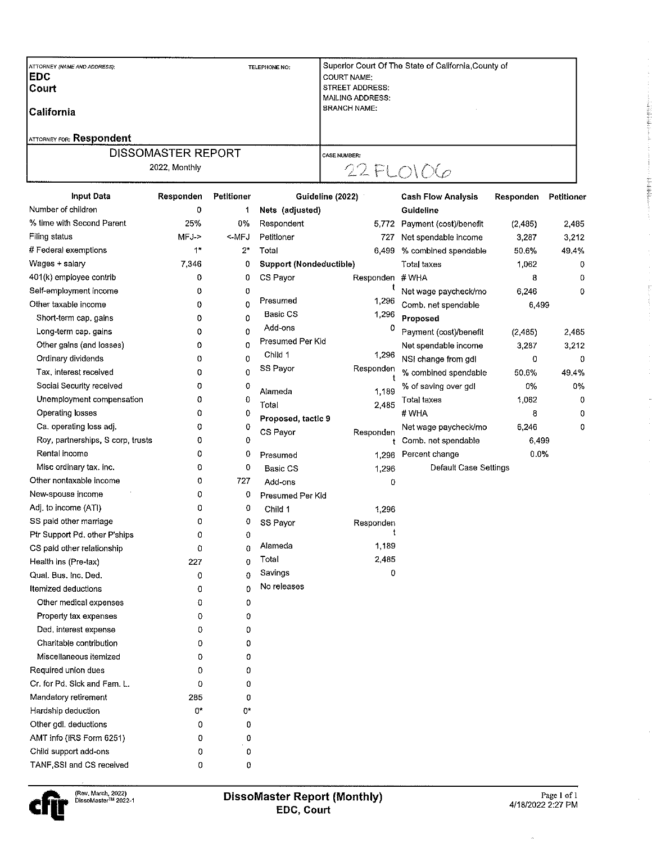| ATTORNEY (NAME AND ADDRESS).<br> EDC | TELEPHONE NO: | Superior Court Of The State of California County of<br><b>COURT NAME:</b> |
|--------------------------------------|---------------|---------------------------------------------------------------------------|
| <b>Court</b>                         |               | <b>STREET ADDRESS:</b>                                                    |
|                                      |               | MAILING ADDRESS:<br><b>BRANCH NAME:</b>                                   |
| l California                         |               |                                                                           |
| <b>ATTORNEY FOR: Respondent</b>      |               |                                                                           |
| <b>DISSOMASTER REPORT</b>            |               | <b>CASE NUMBER:</b>                                                       |
| 2022, Monthly                        |               | $22$ FLOIOG                                                               |

| <b>Input Data</b>                 | Responden | Petitioner  | Guideline (2022)        |                                              | <b>Cash Flow Analysis</b> | Responden | Petitioner |
|-----------------------------------|-----------|-------------|-------------------------|----------------------------------------------|---------------------------|-----------|------------|
| Number of children                | 0         | 1           | Nets (adjusted)         | Guideline<br>Payment (cost)/benefit<br>5,772 |                           |           |            |
| % time with Second Parent         | 25%       | 0%          | Respondent              |                                              |                           | (2,485)   | 2,485      |
| Filing status                     | MFJ->     | <-MFJ       | Petitioner              | 727                                          | Net spendable income      | 3,287     | 3,212      |
| # Federal exemptions              | 1*        | 2*          | Total                   | 6,499                                        | % combined spendable      | 50.6%     | 49,4%      |
| Wages + salary                    | 7,346     | 0           | Support (Nondeductible) |                                              | Total taxes               | 1,062     | 0          |
| 401(k) employee contrib           | 0         | 0           | CS Payor                | Responden #WHA                               |                           | 8         | 0          |
| Self-employment income            | 0         | 0           |                         | t                                            | Net wage paycheck/mo      | 6,246     | 0          |
| Other taxable income              | 0         | 0           | Presumed                | 1,296                                        | Comb. net spendable       | 6,499     |            |
| Short-term cap, gains             | 0         | 0           | Basic CS                | 1,296                                        | Proposed                  |           |            |
| Long-term cap. gains              | 0         | 0           | Add-ons                 | 0                                            | Payment (cost)/benefit    | (2, 485)  | 2,485      |
| Other gains (and losses)          | 0         | 0           | Presumed Per Kid        |                                              | Net spendable income      | 3,287     | 3,212      |
| Ordinary dividends                | 0         | 0           | Child 1                 | 1,296                                        | NSI change from gdl       | 0         | 0          |
| Tax, interest received            | 0         | 0           | SS Payor                | Responden                                    | % combined spendable      | 50.6%     | 49.4%      |
| Social Security received          | 0         | 0           | Alameda                 | 1,189                                        | % of saving over gdl      | 0%        | 0%         |
| Unemployment compensation         | 0         | 0           | Total                   | 2,485                                        | <b>Total taxes</b>        | 1,062     | 0          |
| Operating losses                  | 0         | 0           | Proposed, tactic 9      |                                              | # WHA                     | 8         | 0          |
| Ca. operating loss adj.           | 0         | 0           | CS Payor                | Responden                                    | Net wage paycheck/mo      | 6,246     | 0          |
| Roy, partnerships, S corp, trusts | 0         | 0           |                         | t                                            | Comb, net spendable       | 6,499     |            |
| Rental income                     | 0         | 0           | Presumed                | 1,296                                        | Percent change            | 0.0%      |            |
| Misc ordinary tax. inc.           | 0         | 0           | <b>Basic CS</b>         | 1,296                                        | Default Case Settings     |           |            |
| Other nontaxable income           | 0         | 727         | Add-ons                 | 0                                            |                           |           |            |
| New-spouse income                 | 0         | 0           | Presumed Per Kid        |                                              |                           |           |            |
| Adj. to income (ATI)              | 0         | 0           | Child 1                 | 1,296                                        |                           |           |            |
| SS paid other marriage            | 0         | 0           | SS Payor                | Responden                                    |                           |           |            |
| Ptr Support Pd, other P'ships     | 0         | 0           |                         |                                              |                           |           |            |
| CS paid other relationship        | 0         | $\bf{0}$    | Alameda                 | 1,189                                        |                           |           |            |
| Health ins (Pre-tax)              | 227       | $\bf{0}$    | Total                   | 2,485                                        |                           |           |            |
| Qual. Bus. Inc. Ded.              | 0         | $\bf{0}$    | Savings                 | 0                                            |                           |           |            |
| Itemized deductions               | 0         | $\mathbf 0$ | No releases             |                                              |                           |           |            |
| Other medical expenses            | 0         | 0           |                         |                                              |                           |           |            |
| Property tax expenses             | 0         | 0           |                         |                                              |                           |           |            |
| Ded, interest expense             | 0         | 0           |                         |                                              |                           |           |            |
| Charitable contribution           | 0         | 0           |                         |                                              |                           |           |            |
| Miscellaneous itemized            | 0         | 0           |                         |                                              |                           |           |            |
| Required union dues               | O.        | 0           |                         |                                              |                           |           |            |
| Cr. for Pd. Sick and Fam. L.      | 0         | 0           |                         |                                              |                           |           |            |
| Mandatory retirement              | 285       | 0           |                         |                                              |                           |           |            |
| Hardship deduction                | 0*        | 0*          |                         |                                              |                           |           |            |
| Other gdl, deductions             | 0         | 0           |                         |                                              |                           |           |            |
| AMT info (IRS Form 6251)          | 0         | 0           |                         |                                              |                           |           |            |
| Child support add-ons             | 0         | 0           |                         |                                              |                           |           |            |
| TANE SSL and CS received          |           |             |                         |                                              |                           |           |            |



 $\hat{\boldsymbol{\gamma}}$ 

 $\sim$ 

- 2010年12月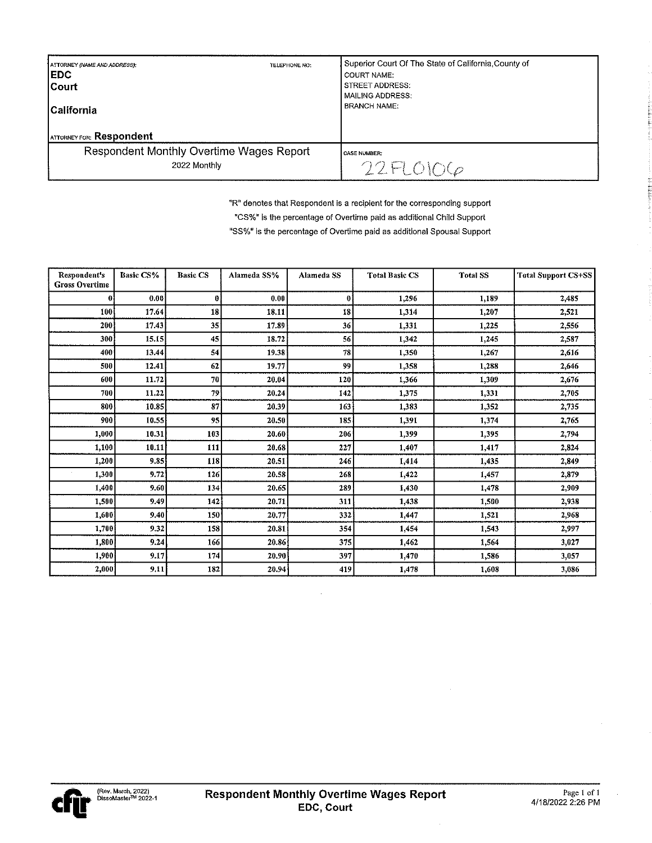| ATTORNEY (NAME AND ADDRESS):<br><b>EDC</b><br><b>ICourt</b><br><b>ICalifornia</b><br><b>ATTORNEY FOR: Respondent</b> | TELEPHONE NO: | Superior Court Of The State of California, County of<br><b>COURT NAME:</b><br><b>STREET ADDRESS:</b><br><b>MAILING ADDRESS:</b><br><b>BRANCH NAME:</b> |
|----------------------------------------------------------------------------------------------------------------------|---------------|--------------------------------------------------------------------------------------------------------------------------------------------------------|
| Respondent Monthly Overtime Wages Report<br>2022 Monthly                                                             |               | <b>CASE NUMBER:</b><br>22FLOIOG                                                                                                                        |

"R" denotes that Respondent is a recipient for the corresponding support

"CS%" is the percentage of Overtime paid as additional Child Support

"SS%" is the percentage of Overtime paid as additional Spousal Support

| Respondent's<br><b>Gross Overtime</b> | <b>Basic CS%</b> | <b>Basic CS</b> | Alameda SS% | Alameda SS | <b>Total Basic CS</b> | <b>Total SS</b> | <b>Total Support CS+SS</b> |
|---------------------------------------|------------------|-----------------|-------------|------------|-----------------------|-----------------|----------------------------|
| 0                                     | 0.00             | 0               | 0.00        | 0          | 1.296                 | 1,189           | 2,485                      |
| 100                                   | 17.64            | 18              | 18.11       | 18         | 1.314                 | 1,207           | 2,521                      |
| 200                                   | 17.43            | 35              | 17.89       | 36         | 1.331                 | 1,225           | 2.556                      |
| 300                                   | 15.15            | 45              | 18.72       | 56         | 1,342                 | 1,245           | 2,587                      |
| 400                                   | 13.44            | 54              | 19.38       | 78         | 1,350                 | 1,267           | 2,616                      |
| 500                                   | 12.41            | 62              | 19.77       | 99         | 1.358                 | 1,288           | 2,646                      |
| 600                                   | 11.72            | 70              | 20.04       | 120        | 1,366                 | 1,309           | 2,676                      |
| 700                                   | 11.22            | 79              | 20.24       | 142        | 1.375                 | 1,331           | 2.705                      |
| 800                                   | 10.85            | 87              | 20.39       | 163        | 1,383                 | 1,352           | 2,735                      |
| 900                                   | 10.55            | 95              | 20.50       | 185        | 1,391                 | 1,374           | 2,765                      |
| 1,000                                 | 10.31            | 103             | 20.60       | 206        | 1,399                 | 1,395           | 2.794                      |
| 1,100                                 | 10.11            | 111             | 20.68       | 227        | 1.407                 | 1,417           | 2,824                      |
| 1,200                                 | 9.85             | 118             | 20.51       | 246        | 1,414                 | 1,435           | 2.849                      |
| 1,300                                 | 9.72             | 126             | 20.58       | 268        | 1,422                 | 1,457           | 2,879                      |
| 1,400                                 | 9,60             | 134             | 20.65       | 289        | 1,430                 | 1,478           | 2.909                      |
| 1,500                                 | 9.49             | 142             | 20.71       | 311        | 1,438                 | 1,500           | 2,938                      |
| 1,600                                 | 9.40             | 150             | 20.77       | 332        | 1,447                 | 1,521           | 2,968                      |
| 1,700                                 | 9.32             | 158             | 20.81       | 354        | 1,454                 | 1,543           | 2,997                      |
| 1,800                                 | 9.24             | 166             | 20.86       | 375        | 1,462                 | 1,564           | 3,027                      |
| 1,900                                 | 9,17             | 174             | 20.90       | 397        | 1,470                 | 1,586           | 3.057                      |
| 2,000                                 | 9.11             | 182             | 20.94       | 419        | 1,478                 | 1,608           | 3,086                      |

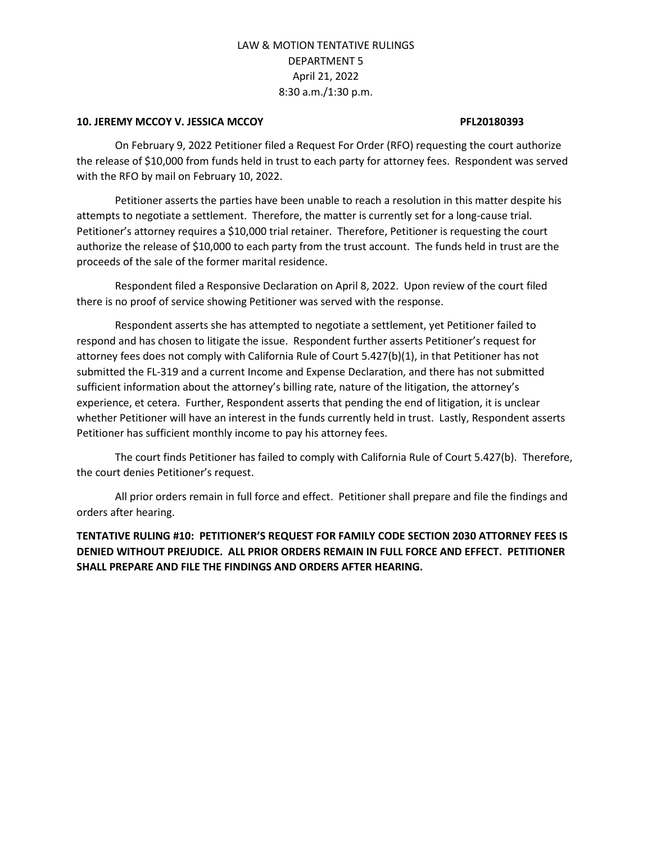### **10. JEREMY MCCOY V. JESSICA MCCOY PFL20180393**

On February 9, 2022 Petitioner filed a Request For Order (RFO) requesting the court authorize the release of \$10,000 from funds held in trust to each party for attorney fees. Respondent was served with the RFO by mail on February 10, 2022.

Petitioner asserts the parties have been unable to reach a resolution in this matter despite his attempts to negotiate a settlement. Therefore, the matter is currently set for a long-cause trial. Petitioner's attorney requires a \$10,000 trial retainer. Therefore, Petitioner is requesting the court authorize the release of \$10,000 to each party from the trust account. The funds held in trust are the proceeds of the sale of the former marital residence.

Respondent filed a Responsive Declaration on April 8, 2022. Upon review of the court filed there is no proof of service showing Petitioner was served with the response.

Respondent asserts she has attempted to negotiate a settlement, yet Petitioner failed to respond and has chosen to litigate the issue. Respondent further asserts Petitioner's request for attorney fees does not comply with California Rule of Court 5.427(b)(1), in that Petitioner has not submitted the FL-319 and a current Income and Expense Declaration, and there has not submitted sufficient information about the attorney's billing rate, nature of the litigation, the attorney's experience, et cetera. Further, Respondent asserts that pending the end of litigation, it is unclear whether Petitioner will have an interest in the funds currently held in trust. Lastly, Respondent asserts Petitioner has sufficient monthly income to pay his attorney fees.

The court finds Petitioner has failed to comply with California Rule of Court 5.427(b). Therefore, the court denies Petitioner's request.

All prior orders remain in full force and effect. Petitioner shall prepare and file the findings and orders after hearing.

# **TENTATIVE RULING #10: PETITIONER'S REQUEST FOR FAMILY CODE SECTION 2030 ATTORNEY FEES IS DENIED WITHOUT PREJUDICE. ALL PRIOR ORDERS REMAIN IN FULL FORCE AND EFFECT. PETITIONER SHALL PREPARE AND FILE THE FINDINGS AND ORDERS AFTER HEARING.**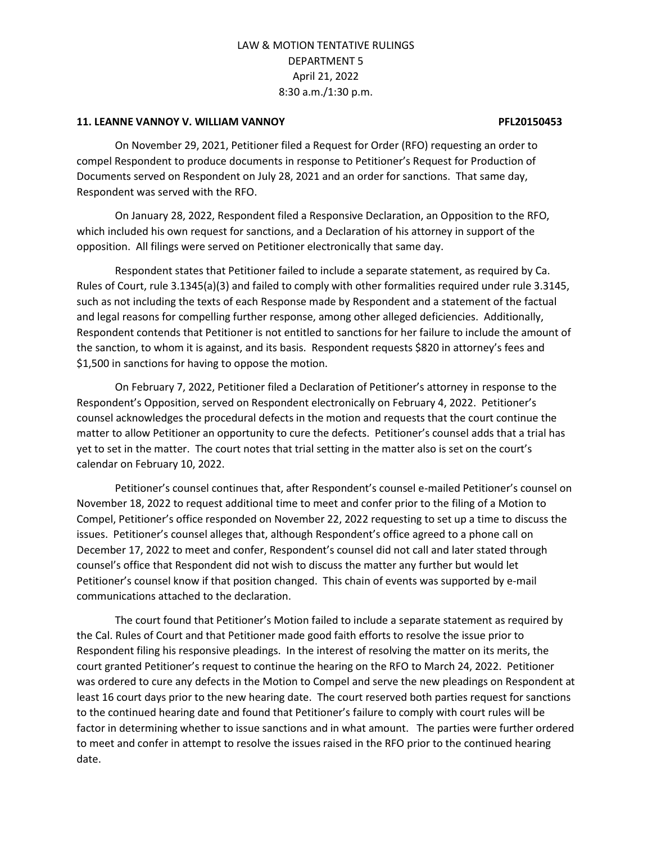#### **11. LEANNE VANNOY V. WILLIAM VANNOY PFL20150453**

On November 29, 2021, Petitioner filed a Request for Order (RFO) requesting an order to compel Respondent to produce documents in response to Petitioner's Request for Production of Documents served on Respondent on July 28, 2021 and an order for sanctions. That same day, Respondent was served with the RFO.

On January 28, 2022, Respondent filed a Responsive Declaration, an Opposition to the RFO, which included his own request for sanctions, and a Declaration of his attorney in support of the opposition. All filings were served on Petitioner electronically that same day.

Respondent states that Petitioner failed to include a separate statement, as required by Ca. Rules of Court, rule 3.1345(a)(3) and failed to comply with other formalities required under rule 3.3145, such as not including the texts of each Response made by Respondent and a statement of the factual and legal reasons for compelling further response, among other alleged deficiencies. Additionally, Respondent contends that Petitioner is not entitled to sanctions for her failure to include the amount of the sanction, to whom it is against, and its basis. Respondent requests \$820 in attorney's fees and \$1,500 in sanctions for having to oppose the motion.

On February 7, 2022, Petitioner filed a Declaration of Petitioner's attorney in response to the Respondent's Opposition, served on Respondent electronically on February 4, 2022. Petitioner's counsel acknowledges the procedural defects in the motion and requests that the court continue the matter to allow Petitioner an opportunity to cure the defects. Petitioner's counsel adds that a trial has yet to set in the matter. The court notes that trial setting in the matter also is set on the court's calendar on February 10, 2022.

Petitioner's counsel continues that, after Respondent's counsel e-mailed Petitioner's counsel on November 18, 2022 to request additional time to meet and confer prior to the filing of a Motion to Compel, Petitioner's office responded on November 22, 2022 requesting to set up a time to discuss the issues. Petitioner's counsel alleges that, although Respondent's office agreed to a phone call on December 17, 2022 to meet and confer, Respondent's counsel did not call and later stated through counsel's office that Respondent did not wish to discuss the matter any further but would let Petitioner's counsel know if that position changed. This chain of events was supported by e-mail communications attached to the declaration.

The court found that Petitioner's Motion failed to include a separate statement as required by the Cal. Rules of Court and that Petitioner made good faith efforts to resolve the issue prior to Respondent filing his responsive pleadings. In the interest of resolving the matter on its merits, the court granted Petitioner's request to continue the hearing on the RFO to March 24, 2022. Petitioner was ordered to cure any defects in the Motion to Compel and serve the new pleadings on Respondent at least 16 court days prior to the new hearing date. The court reserved both parties request for sanctions to the continued hearing date and found that Petitioner's failure to comply with court rules will be factor in determining whether to issue sanctions and in what amount. The parties were further ordered to meet and confer in attempt to resolve the issues raised in the RFO prior to the continued hearing date.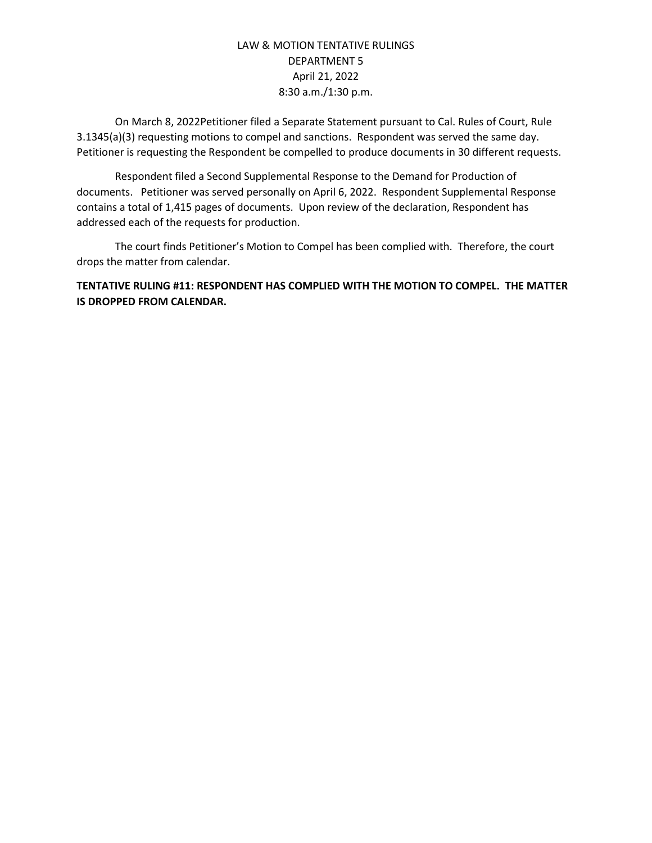On March 8, 2022Petitioner filed a Separate Statement pursuant to Cal. Rules of Court, Rule 3.1345(a)(3) requesting motions to compel and sanctions. Respondent was served the same day. Petitioner is requesting the Respondent be compelled to produce documents in 30 different requests.

Respondent filed a Second Supplemental Response to the Demand for Production of documents. Petitioner was served personally on April 6, 2022. Respondent Supplemental Response contains a total of 1,415 pages of documents. Upon review of the declaration, Respondent has addressed each of the requests for production.

The court finds Petitioner's Motion to Compel has been complied with. Therefore, the court drops the matter from calendar.

**TENTATIVE RULING #11: RESPONDENT HAS COMPLIED WITH THE MOTION TO COMPEL. THE MATTER IS DROPPED FROM CALENDAR.**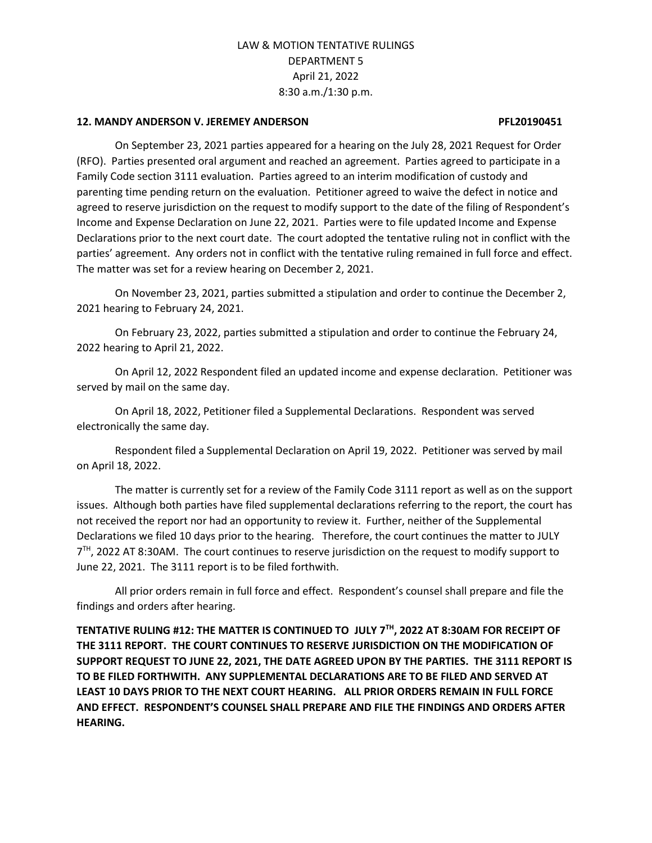#### **12. MANDY ANDERSON V. JEREMEY ANDERSON PFL20190451**

On September 23, 2021 parties appeared for a hearing on the July 28, 2021 Request for Order (RFO). Parties presented oral argument and reached an agreement. Parties agreed to participate in a Family Code section 3111 evaluation. Parties agreed to an interim modification of custody and parenting time pending return on the evaluation. Petitioner agreed to waive the defect in notice and agreed to reserve jurisdiction on the request to modify support to the date of the filing of Respondent's Income and Expense Declaration on June 22, 2021. Parties were to file updated Income and Expense Declarations prior to the next court date. The court adopted the tentative ruling not in conflict with the parties' agreement. Any orders not in conflict with the tentative ruling remained in full force and effect. The matter was set for a review hearing on December 2, 2021.

On November 23, 2021, parties submitted a stipulation and order to continue the December 2, 2021 hearing to February 24, 2021.

On February 23, 2022, parties submitted a stipulation and order to continue the February 24, 2022 hearing to April 21, 2022.

On April 12, 2022 Respondent filed an updated income and expense declaration. Petitioner was served by mail on the same day.

On April 18, 2022, Petitioner filed a Supplemental Declarations. Respondent was served electronically the same day.

Respondent filed a Supplemental Declaration on April 19, 2022. Petitioner was served by mail on April 18, 2022.

The matter is currently set for a review of the Family Code 3111 report as well as on the support issues. Although both parties have filed supplemental declarations referring to the report, the court has not received the report nor had an opportunity to review it. Further, neither of the Supplemental Declarations we filed 10 days prior to the hearing. Therefore, the court continues the matter to JULY 7<sup>TH</sup>, 2022 AT 8:30AM. The court continues to reserve jurisdiction on the request to modify support to June 22, 2021. The 3111 report is to be filed forthwith.

All prior orders remain in full force and effect. Respondent's counsel shall prepare and file the findings and orders after hearing.

**TENTATIVE RULING #12: THE MATTER IS CONTINUED TO JULY 7TH, 2022 AT 8:30AM FOR RECEIPT OF THE 3111 REPORT. THE COURT CONTINUES TO RESERVE JURISDICTION ON THE MODIFICATION OF SUPPORT REQUEST TO JUNE 22, 2021, THE DATE AGREED UPON BY THE PARTIES. THE 3111 REPORT IS TO BE FILED FORTHWITH. ANY SUPPLEMENTAL DECLARATIONS ARE TO BE FILED AND SERVED AT LEAST 10 DAYS PRIOR TO THE NEXT COURT HEARING. ALL PRIOR ORDERS REMAIN IN FULL FORCE AND EFFECT. RESPONDENT'S COUNSEL SHALL PREPARE AND FILE THE FINDINGS AND ORDERS AFTER HEARING.**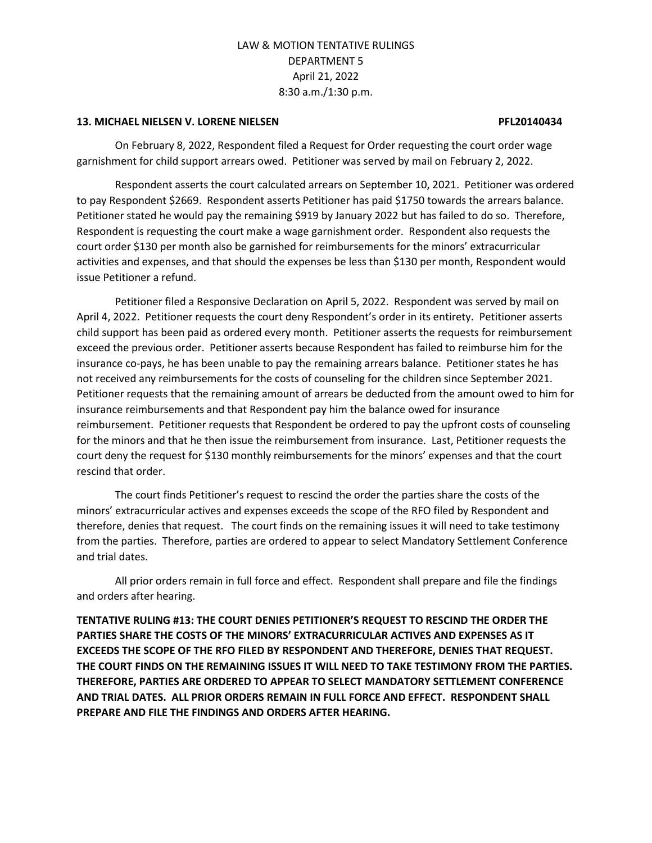#### **13. MICHAEL NIELSEN V. LORENE NIELSEN PFL20140434**

On February 8, 2022, Respondent filed a Request for Order requesting the court order wage garnishment for child support arrears owed. Petitioner was served by mail on February 2, 2022.

Respondent asserts the court calculated arrears on September 10, 2021. Petitioner was ordered to pay Respondent \$2669. Respondent asserts Petitioner has paid \$1750 towards the arrears balance. Petitioner stated he would pay the remaining \$919 by January 2022 but has failed to do so. Therefore, Respondent is requesting the court make a wage garnishment order. Respondent also requests the court order \$130 per month also be garnished for reimbursements for the minors' extracurricular activities and expenses, and that should the expenses be less than \$130 per month, Respondent would issue Petitioner a refund.

Petitioner filed a Responsive Declaration on April 5, 2022. Respondent was served by mail on April 4, 2022. Petitioner requests the court deny Respondent's order in its entirety. Petitioner asserts child support has been paid as ordered every month. Petitioner asserts the requests for reimbursement exceed the previous order. Petitioner asserts because Respondent has failed to reimburse him for the insurance co-pays, he has been unable to pay the remaining arrears balance. Petitioner states he has not received any reimbursements for the costs of counseling for the children since September 2021. Petitioner requests that the remaining amount of arrears be deducted from the amount owed to him for insurance reimbursements and that Respondent pay him the balance owed for insurance reimbursement. Petitioner requests that Respondent be ordered to pay the upfront costs of counseling for the minors and that he then issue the reimbursement from insurance. Last, Petitioner requests the court deny the request for \$130 monthly reimbursements for the minors' expenses and that the court rescind that order.

The court finds Petitioner's request to rescind the order the parties share the costs of the minors' extracurricular actives and expenses exceeds the scope of the RFO filed by Respondent and therefore, denies that request. The court finds on the remaining issues it will need to take testimony from the parties. Therefore, parties are ordered to appear to select Mandatory Settlement Conference and trial dates.

All prior orders remain in full force and effect. Respondent shall prepare and file the findings and orders after hearing.

**TENTATIVE RULING #13: THE COURT DENIES PETITIONER'S REQUEST TO RESCIND THE ORDER THE PARTIES SHARE THE COSTS OF THE MINORS' EXTRACURRICULAR ACTIVES AND EXPENSES AS IT EXCEEDS THE SCOPE OF THE RFO FILED BY RESPONDENT AND THEREFORE, DENIES THAT REQUEST. THE COURT FINDS ON THE REMAINING ISSUES IT WILL NEED TO TAKE TESTIMONY FROM THE PARTIES. THEREFORE, PARTIES ARE ORDERED TO APPEAR TO SELECT MANDATORY SETTLEMENT CONFERENCE AND TRIAL DATES. ALL PRIOR ORDERS REMAIN IN FULL FORCE AND EFFECT. RESPONDENT SHALL PREPARE AND FILE THE FINDINGS AND ORDERS AFTER HEARING.**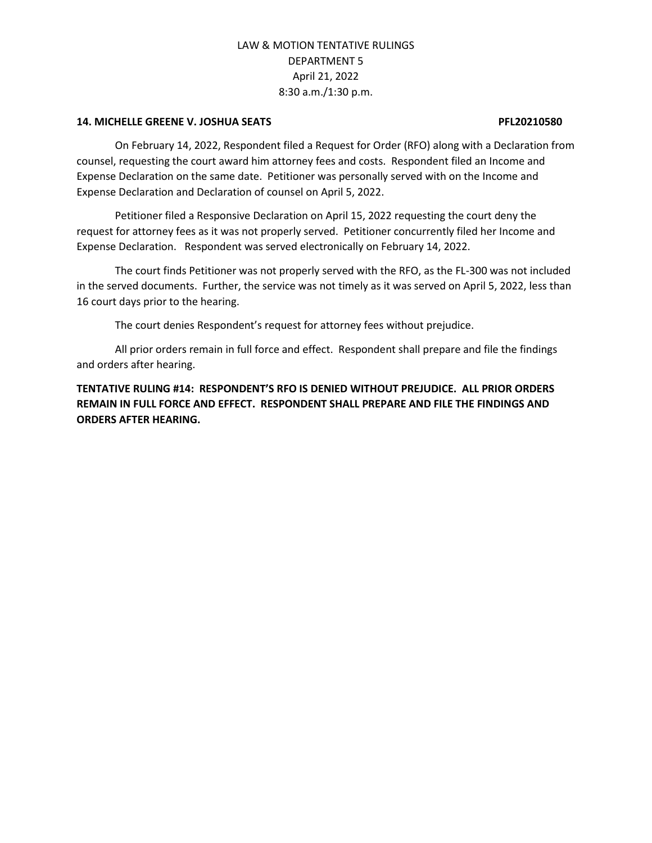#### **14. MICHELLE GREENE V. JOSHUA SEATS PFL20210580**

On February 14, 2022, Respondent filed a Request for Order (RFO) along with a Declaration from counsel, requesting the court award him attorney fees and costs. Respondent filed an Income and Expense Declaration on the same date. Petitioner was personally served with on the Income and Expense Declaration and Declaration of counsel on April 5, 2022.

Petitioner filed a Responsive Declaration on April 15, 2022 requesting the court deny the request for attorney fees as it was not properly served. Petitioner concurrently filed her Income and Expense Declaration. Respondent was served electronically on February 14, 2022.

The court finds Petitioner was not properly served with the RFO, as the FL-300 was not included in the served documents. Further, the service was not timely as it was served on April 5, 2022, less than 16 court days prior to the hearing.

The court denies Respondent's request for attorney fees without prejudice.

All prior orders remain in full force and effect. Respondent shall prepare and file the findings and orders after hearing.

**TENTATIVE RULING #14: RESPONDENT'S RFO IS DENIED WITHOUT PREJUDICE. ALL PRIOR ORDERS REMAIN IN FULL FORCE AND EFFECT. RESPONDENT SHALL PREPARE AND FILE THE FINDINGS AND ORDERS AFTER HEARING.**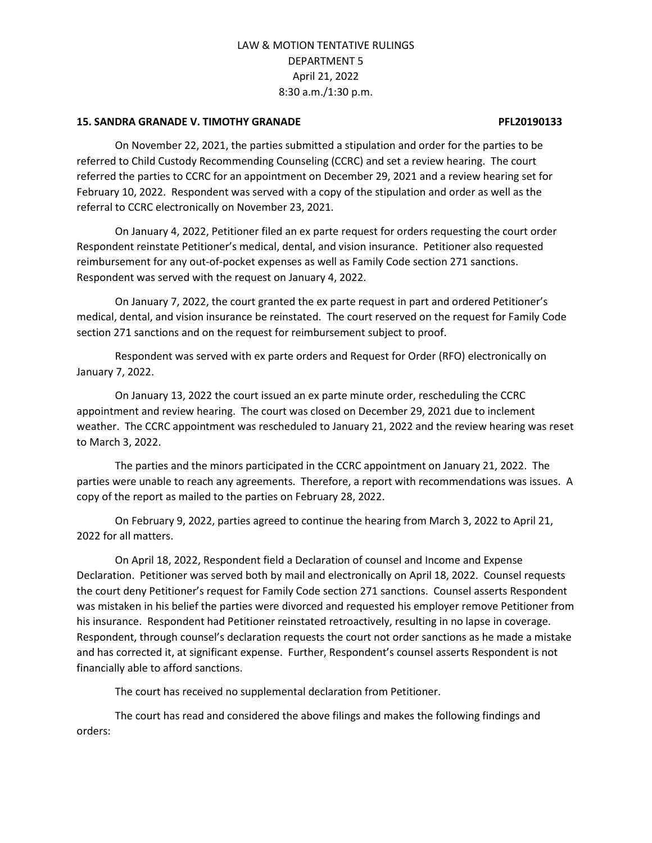### **15. SANDRA GRANADE V. TIMOTHY GRANADE PFL20190133**

On November 22, 2021, the parties submitted a stipulation and order for the parties to be referred to Child Custody Recommending Counseling (CCRC) and set a review hearing. The court referred the parties to CCRC for an appointment on December 29, 2021 and a review hearing set for February 10, 2022. Respondent was served with a copy of the stipulation and order as well as the referral to CCRC electronically on November 23, 2021.

On January 4, 2022, Petitioner filed an ex parte request for orders requesting the court order Respondent reinstate Petitioner's medical, dental, and vision insurance. Petitioner also requested reimbursement for any out-of-pocket expenses as well as Family Code section 271 sanctions. Respondent was served with the request on January 4, 2022.

On January 7, 2022, the court granted the ex parte request in part and ordered Petitioner's medical, dental, and vision insurance be reinstated. The court reserved on the request for Family Code section 271 sanctions and on the request for reimbursement subject to proof.

Respondent was served with ex parte orders and Request for Order (RFO) electronically on January 7, 2022.

On January 13, 2022 the court issued an ex parte minute order, rescheduling the CCRC appointment and review hearing. The court was closed on December 29, 2021 due to inclement weather. The CCRC appointment was rescheduled to January 21, 2022 and the review hearing was reset to March 3, 2022.

The parties and the minors participated in the CCRC appointment on January 21, 2022. The parties were unable to reach any agreements. Therefore, a report with recommendations was issues. A copy of the report as mailed to the parties on February 28, 2022.

On February 9, 2022, parties agreed to continue the hearing from March 3, 2022 to April 21, 2022 for all matters.

On April 18, 2022, Respondent field a Declaration of counsel and Income and Expense Declaration. Petitioner was served both by mail and electronically on April 18, 2022. Counsel requests the court deny Petitioner's request for Family Code section 271 sanctions. Counsel asserts Respondent was mistaken in his belief the parties were divorced and requested his employer remove Petitioner from his insurance. Respondent had Petitioner reinstated retroactively, resulting in no lapse in coverage. Respondent, through counsel's declaration requests the court not order sanctions as he made a mistake and has corrected it, at significant expense. Further, Respondent's counsel asserts Respondent is not financially able to afford sanctions.

The court has received no supplemental declaration from Petitioner.

The court has read and considered the above filings and makes the following findings and orders: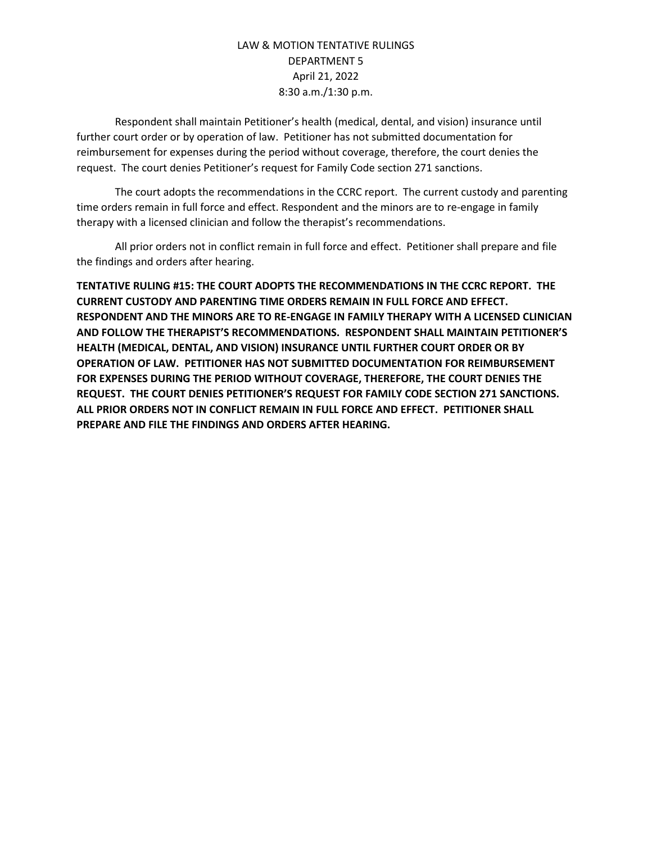Respondent shall maintain Petitioner's health (medical, dental, and vision) insurance until further court order or by operation of law. Petitioner has not submitted documentation for reimbursement for expenses during the period without coverage, therefore, the court denies the request. The court denies Petitioner's request for Family Code section 271 sanctions.

The court adopts the recommendations in the CCRC report. The current custody and parenting time orders remain in full force and effect. Respondent and the minors are to re-engage in family therapy with a licensed clinician and follow the therapist's recommendations.

All prior orders not in conflict remain in full force and effect. Petitioner shall prepare and file the findings and orders after hearing.

**TENTATIVE RULING #15: THE COURT ADOPTS THE RECOMMENDATIONS IN THE CCRC REPORT. THE CURRENT CUSTODY AND PARENTING TIME ORDERS REMAIN IN FULL FORCE AND EFFECT. RESPONDENT AND THE MINORS ARE TO RE-ENGAGE IN FAMILY THERAPY WITH A LICENSED CLINICIAN AND FOLLOW THE THERAPIST'S RECOMMENDATIONS. RESPONDENT SHALL MAINTAIN PETITIONER'S HEALTH (MEDICAL, DENTAL, AND VISION) INSURANCE UNTIL FURTHER COURT ORDER OR BY OPERATION OF LAW. PETITIONER HAS NOT SUBMITTED DOCUMENTATION FOR REIMBURSEMENT FOR EXPENSES DURING THE PERIOD WITHOUT COVERAGE, THEREFORE, THE COURT DENIES THE REQUEST. THE COURT DENIES PETITIONER'S REQUEST FOR FAMILY CODE SECTION 271 SANCTIONS. ALL PRIOR ORDERS NOT IN CONFLICT REMAIN IN FULL FORCE AND EFFECT. PETITIONER SHALL PREPARE AND FILE THE FINDINGS AND ORDERS AFTER HEARING.**